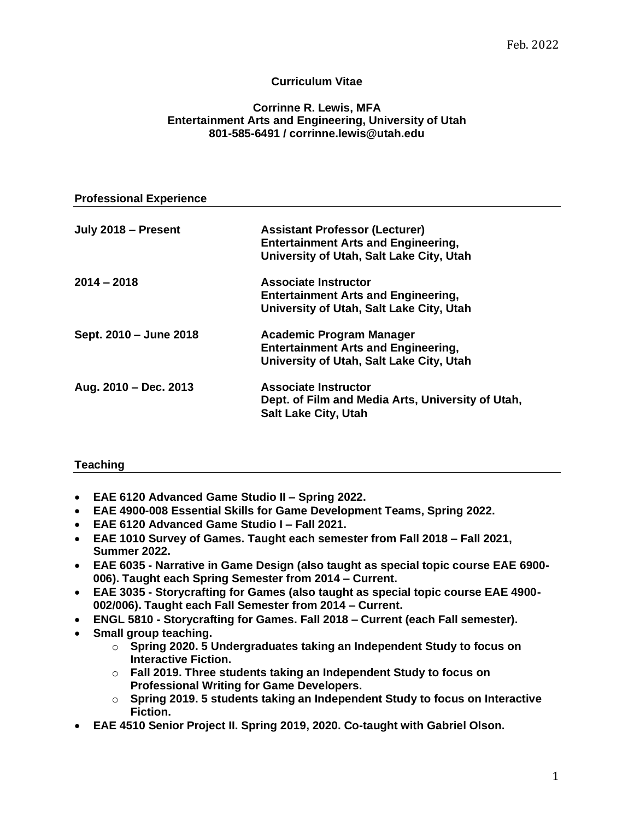# **Curriculum Vitae**

### **Corrinne R. Lewis, MFA Entertainment Arts and Engineering, University of Utah 801-585-6491 / corrinne.lewis@utah.edu**

| <b>Professional Experience</b> |                                                                                                                                 |
|--------------------------------|---------------------------------------------------------------------------------------------------------------------------------|
| July 2018 - Present            | <b>Assistant Professor (Lecturer)</b><br><b>Entertainment Arts and Engineering,</b><br>University of Utah, Salt Lake City, Utah |
| $2014 - 2018$                  | <b>Associate Instructor</b><br><b>Entertainment Arts and Engineering,</b><br>University of Utah, Salt Lake City, Utah           |
| Sept. 2010 - June 2018         | Academic Program Manager<br><b>Entertainment Arts and Engineering,</b><br>University of Utah, Salt Lake City, Utah              |
| Aug. 2010 - Dec. 2013          | <b>Associate Instructor</b><br>Dept. of Film and Media Arts, University of Utah,<br><b>Salt Lake City, Utah</b>                 |

## **Teaching**

- **EAE 6120 Advanced Game Studio II – Spring 2022.**
- **EAE 4900-008 Essential Skills for Game Development Teams, Spring 2022.**
- **EAE 6120 Advanced Game Studio I – Fall 2021.**
- **EAE 1010 Survey of Games. Taught each semester from Fall 2018 – Fall 2021, Summer 2022.**
- **EAE 6035 - Narrative in Game Design (also taught as special topic course EAE 6900- 006). Taught each Spring Semester from 2014 – Current.**
- **EAE 3035 - Storycrafting for Games (also taught as special topic course EAE 4900- 002/006). Taught each Fall Semester from 2014 – Current.**
- **ENGL 5810 - Storycrafting for Games. Fall 2018 – Current (each Fall semester).**
- **Small group teaching.** 
	- o **Spring 2020. 5 Undergraduates taking an Independent Study to focus on Interactive Fiction.**
	- o **Fall 2019. Three students taking an Independent Study to focus on Professional Writing for Game Developers.**
	- o **Spring 2019. 5 students taking an Independent Study to focus on Interactive Fiction.**
- **EAE 4510 Senior Project II. Spring 2019, 2020. Co-taught with Gabriel Olson.**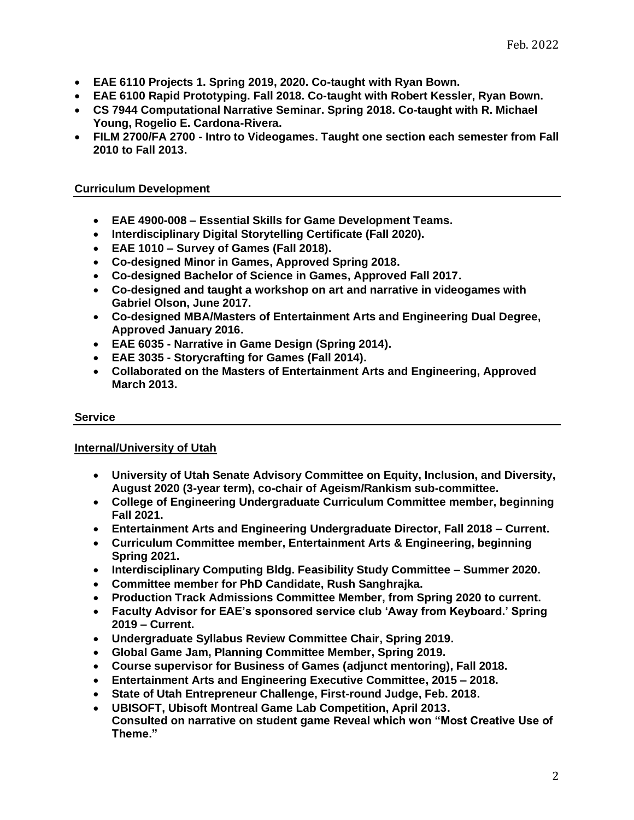- **EAE 6110 Projects 1. Spring 2019, 2020. Co-taught with Ryan Bown.**
- **EAE 6100 Rapid Prototyping. Fall 2018. Co-taught with Robert Kessler, Ryan Bown.**
- **CS 7944 Computational Narrative Seminar. Spring 2018. Co-taught with R. Michael Young, Rogelio E. Cardona-Rivera.**
- **FILM 2700/FA 2700 - Intro to Videogames. Taught one section each semester from Fall 2010 to Fall 2013.**

## **Curriculum Development**

- **EAE 4900-008 – Essential Skills for Game Development Teams.**
- **Interdisciplinary Digital Storytelling Certificate (Fall 2020).**
- **EAE 1010 – Survey of Games (Fall 2018).**
- **Co-designed Minor in Games, Approved Spring 2018.**
- **Co-designed Bachelor of Science in Games, Approved Fall 2017.**
- **Co-designed and taught a workshop on art and narrative in videogames with Gabriel Olson, June 2017.**
- **Co-designed MBA/Masters of Entertainment Arts and Engineering Dual Degree, Approved January 2016.**
- **EAE 6035 - Narrative in Game Design (Spring 2014).**
- **EAE 3035 - Storycrafting for Games (Fall 2014).**
- **Collaborated on the Masters of Entertainment Arts and Engineering, Approved March 2013.**

## **Service**

## **Internal/University of Utah**

- **University of Utah Senate Advisory Committee on Equity, Inclusion, and Diversity, August 2020 (3-year term), co-chair of Ageism/Rankism sub-committee.**
- **College of Engineering Undergraduate Curriculum Committee member, beginning Fall 2021.**
- **Entertainment Arts and Engineering Undergraduate Director, Fall 2018 – Current.**
- **Curriculum Committee member, Entertainment Arts & Engineering, beginning Spring 2021.**
- **Interdisciplinary Computing Bldg. Feasibility Study Committee – Summer 2020.**
- **Committee member for PhD Candidate, Rush Sanghrajka.**
- **Production Track Admissions Committee Member, from Spring 2020 to current.**
- **Faculty Advisor for EAE's sponsored service club 'Away from Keyboard.' Spring 2019 – Current.**
- **Undergraduate Syllabus Review Committee Chair, Spring 2019.**
- **Global Game Jam, Planning Committee Member, Spring 2019.**
- **Course supervisor for Business of Games (adjunct mentoring), Fall 2018.**
- **Entertainment Arts and Engineering Executive Committee, 2015 – 2018.**
- **State of Utah Entrepreneur Challenge, First-round Judge, Feb. 2018.**
- **UBISOFT, Ubisoft Montreal Game Lab Competition, April 2013.**
- **Consulted on narrative on student game Reveal which won "Most Creative Use of Theme."**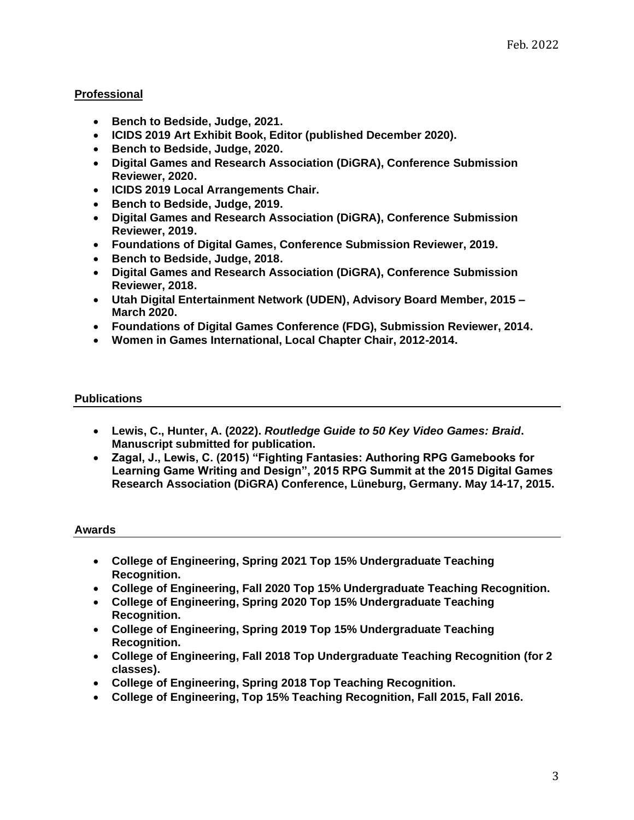# **Professional**

- **Bench to Bedside, Judge, 2021.**
- **ICIDS 2019 Art Exhibit Book, Editor (published December 2020).**
- **Bench to Bedside, Judge, 2020.**
- **Digital Games and Research Association (DiGRA), Conference Submission Reviewer, 2020.**
- **ICIDS 2019 Local Arrangements Chair.**
- **Bench to Bedside, Judge, 2019.**
- **Digital Games and Research Association (DiGRA), Conference Submission Reviewer, 2019.**
- **Foundations of Digital Games, Conference Submission Reviewer, 2019.**
- **Bench to Bedside, Judge, 2018.**
- **Digital Games and Research Association (DiGRA), Conference Submission Reviewer, 2018.**
- **Utah Digital Entertainment Network (UDEN), Advisory Board Member, 2015 – March 2020.**
- **Foundations of Digital Games Conference (FDG), Submission Reviewer, 2014.**
- **Women in Games International, Local Chapter Chair, 2012-2014.**

### **Publications**

- **Lewis, C., Hunter, A. (2022).** *Routledge Guide to 50 Key Video Games: Braid***. Manuscript submitted for publication.**
- **Zagal, J., Lewis, C. (2015) "Fighting Fantasies: Authoring RPG Gamebooks for Learning Game Writing and Design", 2015 RPG Summit at the 2015 Digital Games Research Association (DiGRA) Conference, Lüneburg, Germany. May 14-17, 2015.**

### **Awards**

- **College of Engineering, Spring 2021 Top 15% Undergraduate Teaching Recognition.**
- **College of Engineering, Fall 2020 Top 15% Undergraduate Teaching Recognition.**
- **College of Engineering, Spring 2020 Top 15% Undergraduate Teaching Recognition.**
- **College of Engineering, Spring 2019 Top 15% Undergraduate Teaching Recognition.**
- **College of Engineering, Fall 2018 Top Undergraduate Teaching Recognition (for 2 classes).**
- **College of Engineering, Spring 2018 Top Teaching Recognition.**
- **College of Engineering, Top 15% Teaching Recognition, Fall 2015, Fall 2016.**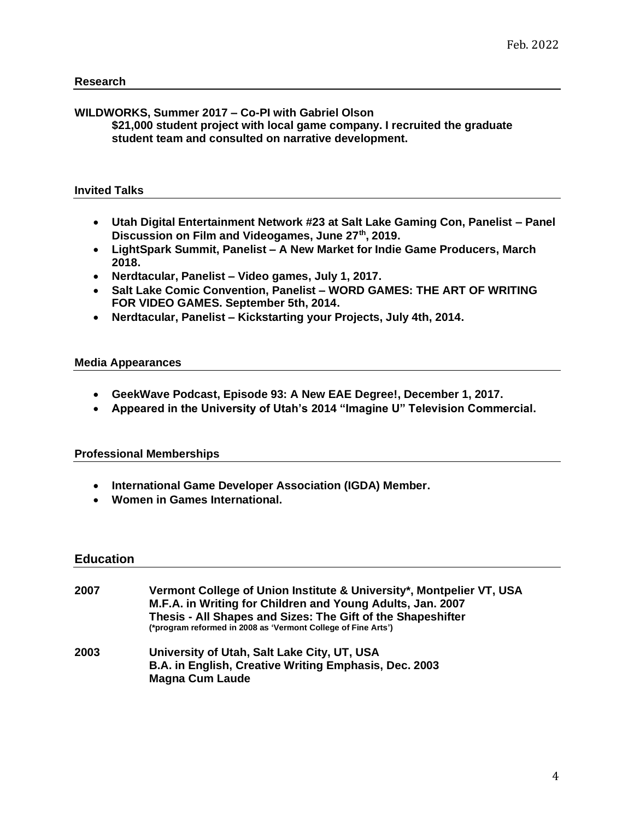## **WILDWORKS, Summer 2017 – Co-PI with Gabriel Olson**

**\$21,000 student project with local game company. I recruited the graduate student team and consulted on narrative development.** 

### **Invited Talks**

- **Utah Digital Entertainment Network #23 at Salt Lake Gaming Con, Panelist – Panel Discussion on Film and Videogames, June 27th, 2019.**
- **LightSpark Summit, Panelist – A New Market for Indie Game Producers, March 2018.**
- **Nerdtacular, Panelist – Video games, July 1, 2017.**
- **Salt Lake Comic Convention, Panelist – WORD GAMES: THE ART OF WRITING FOR VIDEO GAMES. September 5th, 2014.**
- **Nerdtacular, Panelist – Kickstarting your Projects, July 4th, 2014.**

#### **Media Appearances**

- **GeekWave Podcast, Episode 93: A New EAE Degree!, December 1, 2017.**
- **Appeared in the University of Utah's 2014 "Imagine U" Television Commercial.**

#### **Professional Memberships**

- **International Game Developer Association (IGDA) Member.**
- **Women in Games International.**

#### **Education**

| 2007 | Vermont College of Union Institute & University*, Montpelier VT, USA<br>M.F.A. in Writing for Children and Young Adults, Jan. 2007<br>Thesis - All Shapes and Sizes: The Gift of the Shapeshifter<br>(*program reformed in 2008 as 'Vermont College of Fine Arts') |
|------|--------------------------------------------------------------------------------------------------------------------------------------------------------------------------------------------------------------------------------------------------------------------|
| 2003 | University of Utah, Salt Lake City, UT, USA<br>B.A. in English, Creative Writing Emphasis, Dec. 2003<br><b>Magna Cum Laude</b>                                                                                                                                     |